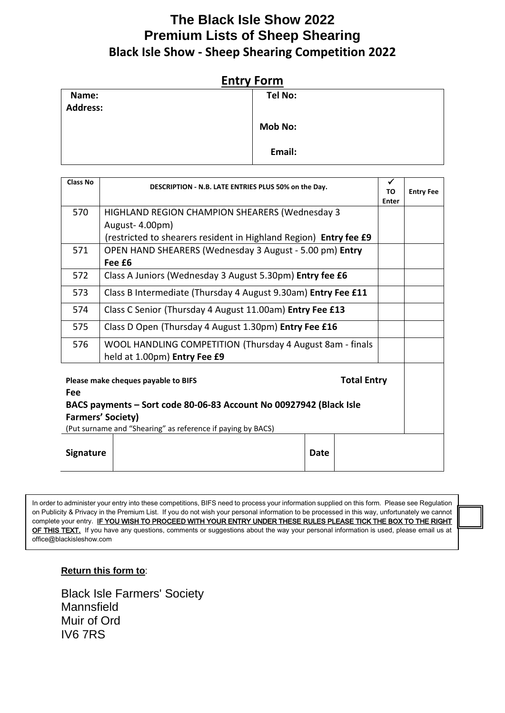## **The Black Isle Show 2022 Premium Lists of Sheep Shearing Black Isle Show - Sheep Shearing Competition 2022**

| Name:           | Tel No:        |  |
|-----------------|----------------|--|
| <b>Address:</b> |                |  |
|                 | <b>Mob No:</b> |  |
|                 | Email:         |  |

| <b>Class No</b>                                           | DESCRIPTION - N.B. LATE ENTRIES PLUS 50% on the Day.              | ✔     |                  |
|-----------------------------------------------------------|-------------------------------------------------------------------|-------|------------------|
|                                                           |                                                                   |       | <b>Entry Fee</b> |
|                                                           |                                                                   | Enter |                  |
| 570                                                       | <b>HIGHLAND REGION CHAMPION SHEARERS (Wednesday 3</b>             |       |                  |
|                                                           | August-4.00pm)                                                    |       |                  |
|                                                           | (restricted to shearers resident in Highland Region) Entry fee £9 |       |                  |
| 571                                                       | OPEN HAND SHEARERS (Wednesday 3 August - 5.00 pm) Entry           |       |                  |
|                                                           | Fee £6                                                            |       |                  |
| 572                                                       | Class A Juniors (Wednesday 3 August 5.30pm) Entry fee £6          |       |                  |
| 573                                                       | Class B Intermediate (Thursday 4 August 9.30am) Entry Fee £11     |       |                  |
| 574                                                       | Class C Senior (Thursday 4 August 11.00am) Entry Fee £13          |       |                  |
| 575                                                       | Class D Open (Thursday 4 August 1.30pm) Entry Fee £16             |       |                  |
| 576                                                       | WOOL HANDLING COMPETITION (Thursday 4 August 8am - finals         |       |                  |
|                                                           | held at 1.00pm) Entry Fee £9                                      |       |                  |
| <b>Total Entry</b><br>Please make cheques payable to BIFS |                                                                   |       |                  |

**Fee BACS payments – Sort code 80-06-83 Account No 00927942 (Black Isle Farmers' Society)**

(Put surname and "Shearing" as reference if paying by BACS)

**Signature Date** 

In order to administer your entry into these competitions, BIFS need to process your information supplied on this form. Please see Regulation on Publicity & Privacy in the Premium List. If you do not wish your personal information to be processed in this way, unfortunately we cannot complete your entry. IF YOU WISH TO PROCEED WITH YOUR ENTRY UNDER THESE RULES PLEASE TICK THE BOX TO THE RIGHT OF THIS TEXT. If you have any questions, comments or suggestions about the way your personal information is used, please email us at office@blackisleshow.com

**Return this form to**:

Black Isle Farmers' Society **Mannsfield** Muir of Ord IV6 7RS